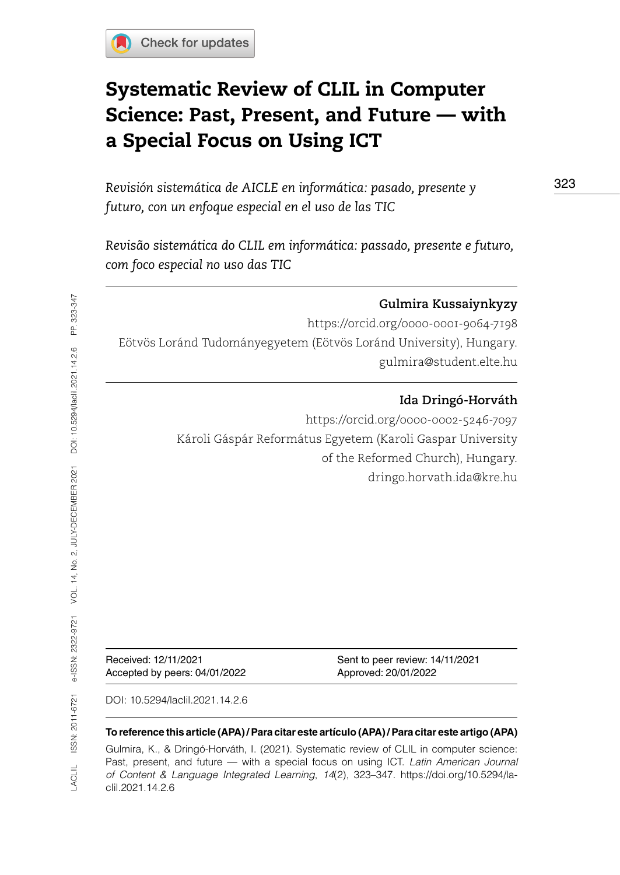# Systematic Review of CLIL in Computer Science: Past, Present, and Future — with a Special Focus on Using ICT

*Revisión sistemática de AICLE en informática: pasado, presente y futuro, con un enfoque especial en el uso de las TIC* 

*Revisão sistemática do CLIL em informática: passado, presente e futuro, com foco especial no uso das TIC*

### **Gulmira Kussaiynkyzy**

<https://orcid.org/0000-0001-9064-7198> Eötvös Loránd Tudományegyetem (Eötvös Loránd University), Hungary. [gulmira@student.elte.hu](mailto:gulmira@student.elte.hu) 

#### **Ida Dringó-Horváth**

<https://orcid.org/0000-0002-5246-7097> Károli Gáspár Református Egyetem (Karoli Gaspar University of the Reformed Church), Hungary. [dringo.horvath.ida@kre.hu](mailto:dringo.horvath.ida@kre.hu)

Accepted by peers: 04/01/2022 Approved: 20/01/2022

Received: 12/11/2021 Sent to peer review: 14/11/2021

DOI: [10.5294/laclil.2021.14.2.6](https://doi.org/10.5294/laclil.2021.14.2.6)

#### **To reference this article (APA) / Para citar este artículo (APA) / Para citar este artigo (APA)**

Gulmira, K., & Dringó-Horváth, I. (2021). Systematic review of CLIL in computer science: Past, present, and future — with a special focus on using ICT. *Latin American Journal of Content & Language Integrated Learning*, *14*(2), 323–347. https://doi.org/10.5294/laclil.2021.14.2.6

323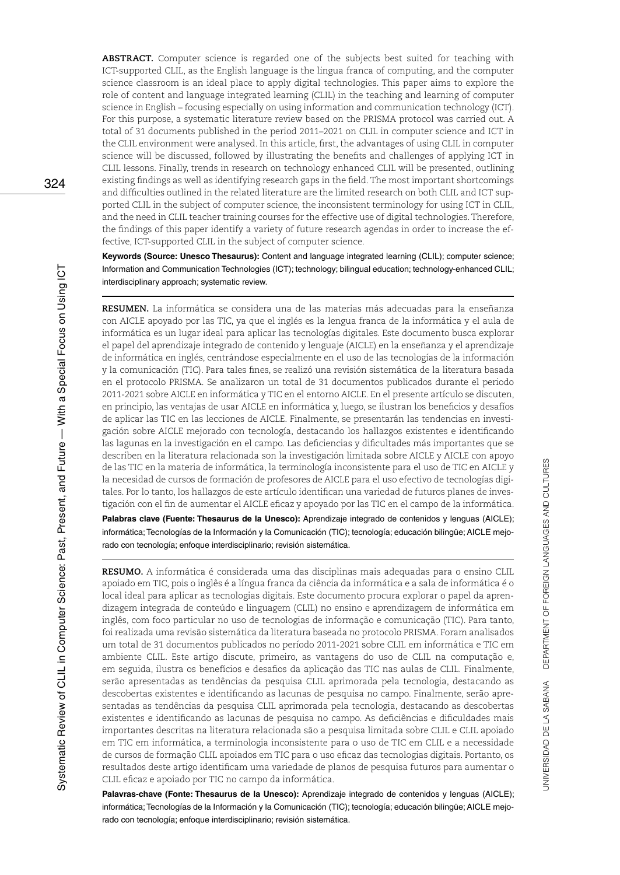**ABSTRACT.** Computer science is regarded one of the subjects best suited for teaching with ICT-supported CLIL, as the English language is the lingua franca of computing, and the computer science classroom is an ideal place to apply digital technologies. This paper aims to explore the role of content and language integrated learning (CLIL) in the teaching and learning of computer science in English – focusing especially on using information and communication technology (ICT). For this purpose, a systematic literature review based on the PRISMA protocol was carried out. A total of 31 documents published in the period 2011–2021 on CLIL in computer science and ICT in the CLIL environment were analysed. In this article, first, the advantages of using CLIL in computer science will be discussed, followed by illustrating the benefits and challenges of applying ICT in CLIL lessons. Finally, trends in research on technology enhanced CLIL will be presented, outlining existing findings as well as identifying research gaps in the field. The most important shortcomings and difficulties outlined in the related literature are the limited research on both CLIL and ICT supported CLIL in the subject of computer science, the inconsistent terminology for using ICT in CLIL, and the need in CLIL teacher training courses for the effective use of digital technologies. Therefore, the findings of this paper identify a variety of future research agendas in order to increase the effective, ICT-supported CLIL in the subject of computer science.

**Keywords (Source: Unesco Thesaurus):** Content and language integrated learning (CLIL); computer science; Information and Communication Technologies (ICT); technology; bilingual education; technology-enhanced CLIL; interdisciplinary approach; systematic review.

**RESUMEN.** La informática se considera una de las materias más adecuadas para la enseñanza con AICLE apoyado por las TIC, ya que el inglés es la lengua franca de la informática y el aula de informática es un lugar ideal para aplicar las tecnologías digitales. Este documento busca explorar el papel del aprendizaje integrado de contenido y lenguaje (AICLE) en la enseñanza y el aprendizaje de informática en inglés, centrándose especialmente en el uso de las tecnologías de la información y la comunicación (TIC). Para tales fines, se realizó una revisión sistemática de la literatura basada en el protocolo PRISMA. Se analizaron un total de 31 documentos publicados durante el periodo 2011-2021 sobre AICLE en informática y TIC en el entorno AICLE. En el presente artículo se discuten, en principio, las ventajas de usar AICLE en informática y, luego, se ilustran los beneficios y desafíos de aplicar las TIC en las lecciones de AICLE. Finalmente, se presentarán las tendencias en investigación sobre AICLE mejorado con tecnología, destacando los hallazgos existentes e identificando las lagunas en la investigación en el campo. Las deficiencias y dificultades más importantes que se describen en la literatura relacionada son la investigación limitada sobre AICLE y AICLE con apoyo de las TIC en la materia de informática, la terminología inconsistente para el uso de TIC en AICLE y la necesidad de cursos de formación de profesores de AICLE para el uso efectivo de tecnologías digitales. Por lo tanto, los hallazgos de este artículo identifican una variedad de futuros planes de investigación con el fin de aumentar el AICLE eficaz y apoyado por las TIC en el campo de la informática.

**Palabras clave (Fuente: Thesaurus de la Unesco):** Aprendizaje integrado de contenidos y lenguas (AICLE); informática; Tecnologías de la Información y la Comunicación (TIC); tecnología; educación bilingüe; AICLE mejorado con tecnología; enfoque interdisciplinario; revisión sistemática.

**RESUMO.** A informática é considerada uma das disciplinas mais adequadas para o ensino CLIL apoiado em TIC, pois o inglês é a língua franca da ciência da informática e a sala de informática é o local ideal para aplicar as tecnologias digitais. Este documento procura explorar o papel da aprendizagem integrada de conteúdo e linguagem (CLIL) no ensino e aprendizagem de informática em inglês, com foco particular no uso de tecnologias de informação e comunicação (TIC). Para tanto, foi realizada uma revisão sistemática da literatura baseada no protocolo PRISMA. Foram analisados um total de 31 documentos publicados no período 2011-2021 sobre CLIL em informática e TIC em ambiente CLIL. Este artigo discute, primeiro, as vantagens do uso de CLIL na computação e, em seguida, ilustra os benefícios e desafios da aplicação das TIC nas aulas de CLIL. Finalmente, serão apresentadas as tendências da pesquisa CLIL aprimorada pela tecnologia, destacando as descobertas existentes e identificando as lacunas de pesquisa no campo. Finalmente, serão apresentadas as tendências da pesquisa CLIL aprimorada pela tecnologia, destacando as descobertas existentes e identificando as lacunas de pesquisa no campo. As deficiências e dificuldades mais importantes descritas na literatura relacionada são a pesquisa limitada sobre CLIL e CLIL apoiado em TIC em informática, a terminologia inconsistente para o uso de TIC em CLIL e a necessidade de cursos de formação CLIL apoiados em TIC para o uso eficaz das tecnologias digitais. Portanto, os resultados deste artigo identificam uma variedade de planos de pesquisa futuros para aumentar o CLIL eficaz e apoiado por TIC no campo da informática.

**Palavras-chave (Fonte: Thesaurus de la Unesco):** Aprendizaje integrado de contenidos y lenguas (AICLE); informática; Tecnologías de la Información y la Comunicación (TIC); tecnología; educación bilingüe; AICLE mejorado con tecnología; enfoque interdisciplinario; revisión sistemática.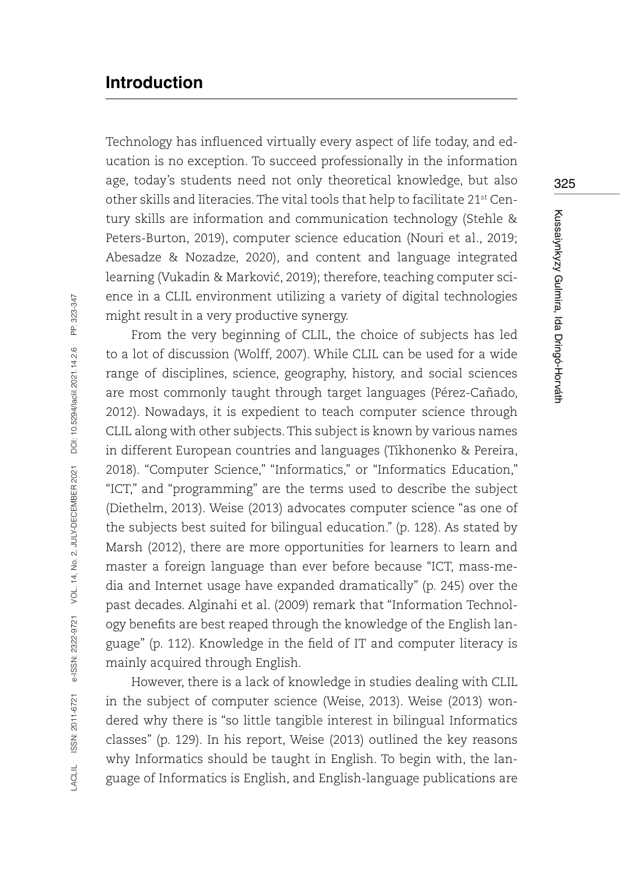# **Introduction**

Technology has influenced virtually every aspect of life today, and education is no exception. To succeed professionally in the information age, today's students need not only theoretical knowledge, but also other skills and literacies. The vital tools that help to facilitate 21st Century skills are information and communication technology (Stehle & Peters-Burton, 2019), computer science education (Nouri et al., 2019; Abesadze & Nozadze, 2020), and content and language integrated learning (Vukadin & Markovic, 2019); therefore, teaching computer science in a CLIL environment utilizing a variety of digital technologies might result in a very productive synergy.

From the very beginning of CLIL, the choice of subjects has led to a lot of discussion (Wolff, 2007). While CLIL can be used for a wide range of disciplines, science, geography, history, and social sciences are most commonly taught through target languages (Pérez-Cañado, 2012). Nowadays, it is expedient to teach computer science through CLIL along with other subjects. This subject is known by various names in different European countries and languages (Tikhonenko & Pereira, 2018). "Computer Science," "Informatics," or "Informatics Education," "ICT," and "programming" are the terms used to describe the subject (Diethelm, 2013). Weise (2013) advocates computer science "as one of the subjects best suited for bilingual education." (p. 128). As stated by Marsh (2012), there are more opportunities for learners to learn and master a foreign language than ever before because "ICT, mass-media and Internet usage have expanded dramatically" (p. 245) over the past decades. Alginahi et al. (2009) remark that "Information Technology benefits are best reaped through the knowledge of the English language" (p. 112). Knowledge in the field of IT and computer literacy is mainly acquired through English.

However, there is a lack of knowledge in studies dealing with CLIL in the subject of computer science (Weise, 2013). Weise (2013) wondered why there is "so little tangible interest in bilingual Informatics classes" (p. 129). In his report, Weise (2013) outlined the key reasons why Informatics should be taught in English. To begin with, the language of Informatics is English, and English-language publications are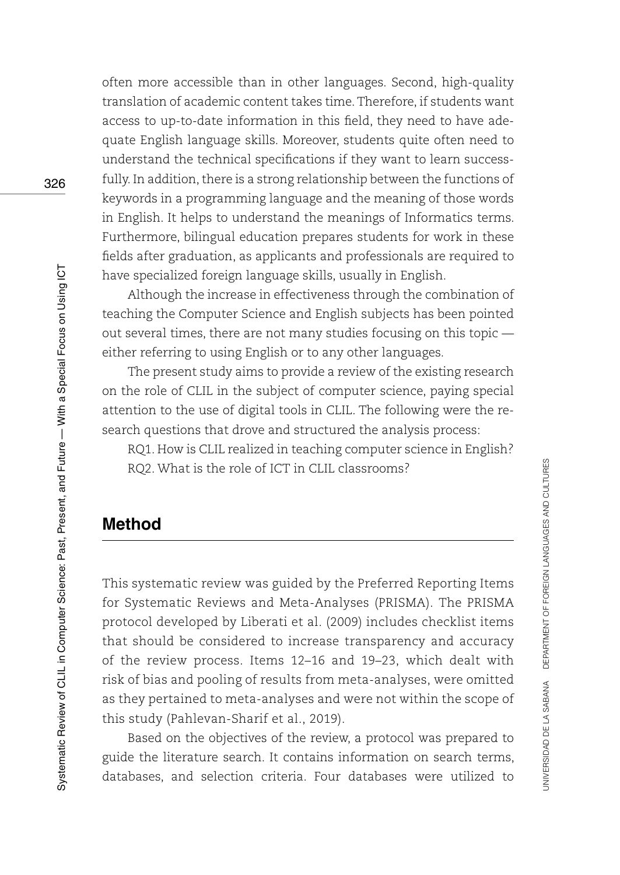often more accessible than in other languages. Second, high-quality translation of academic content takes time. Therefore, if students want access to up-to-date information in this field, they need to have adequate English language skills. Moreover, students quite often need to understand the technical specifications if they want to learn successfully. In addition, there is a strong relationship between the functions of keywords in a programming language and the meaning of those words in English. It helps to understand the meanings of Informatics terms. Furthermore, bilingual education prepares students for work in these fields after graduation, as applicants and professionals are required to have specialized foreign language skills, usually in English.

Although the increase in effectiveness through the combination of teaching the Computer Science and English subjects has been pointed out several times, there are not many studies focusing on this topic either referring to using English or to any other languages.

The present study aims to provide a review of the existing research on the role of CLIL in the subject of computer science, paying special attention to the use of digital tools in CLIL. The following were the research questions that drove and structured the analysis process:

RQ1. How is CLIL realized in teaching computer science in English? RQ2. What is the role of ICT in CLIL classrooms?

# **Method**

This systematic review was guided by the Preferred Reporting Items for Systematic Reviews and Meta-Analyses (PRISMA). The PRISMA protocol developed by Liberati et al. (2009) includes checklist items that should be considered to increase transparency and accuracy of the review process. Items 12–16 and 19–23, which dealt with risk of bias and pooling of results from meta-analyses, were omitted as they pertained to meta-analyses and were not within the scope of this study (Pahlevan-Sharif et al., 2019).

Based on the objectives of the review, a protocol was prepared to guide the literature search. It contains information on search terms, databases, and selection criteria. Four databases were utilized to

326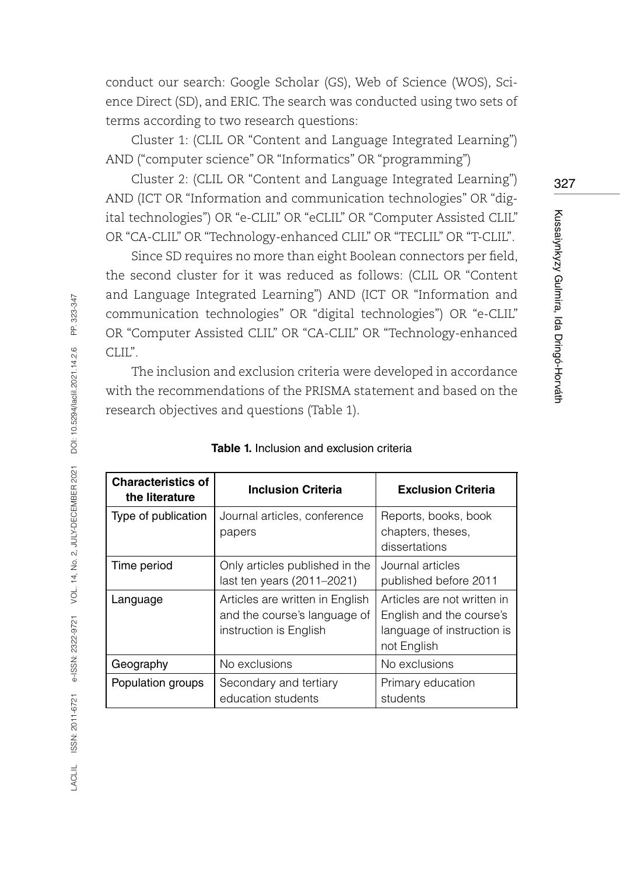conduct our search: Google Scholar (GS), Web of Science (WOS), Science Direct (SD), and ERIC. The search was conducted using two sets of terms according to two research questions:

Cluster 1: (CLIL OR "Content and Language Integrated Learning") AND ("computer science" OR "Informatics" OR "programming")

Cluster 2: (CLIL OR "Content and Language Integrated Learning") AND (ICT OR "Information and communication technologies" OR "digital technologies") OR "e-CLIL" OR "eCLIL" OR "Computer Assisted CLIL" OR "CA-CLIL" OR "Technology-enhanced CLIL" OR "TECLIL" OR "T-CLIL".

Since SD requires no more than eight Boolean connectors per field, the second cluster for it was reduced as follows: (CLIL OR "Content and Language Integrated Learning") AND (ICT OR "Information and communication technologies" OR "digital technologies") OR "e-CLIL" OR "Computer Assisted CLIL" OR "CA-CLIL" OR "Technology-enhanced CLIL".

The inclusion and exclusion criteria were developed in accordance with the recommendations of the PRISMA statement and based on the research objectives and questions (Table 1).

| <b>Characteristics of</b><br>the literature | <b>Inclusion Criteria</b>                                                                 | <b>Exclusion Criteria</b>                                                                            |  |
|---------------------------------------------|-------------------------------------------------------------------------------------------|------------------------------------------------------------------------------------------------------|--|
| Type of publication                         | Journal articles, conference<br>papers                                                    | Reports, books, book<br>chapters, theses,<br>dissertations                                           |  |
| Time period                                 | Only articles published in the<br>last ten years (2011–2021)                              | Journal articles<br>published before 2011                                                            |  |
| Language                                    | Articles are written in English<br>and the course's language of<br>instruction is English | Articles are not written in<br>English and the course's<br>language of instruction is<br>not English |  |
| Geography                                   | No exclusions                                                                             | No exclusions                                                                                        |  |
| Population groups                           | Secondary and tertiary<br>education students                                              | Primary education<br>students                                                                        |  |

#### **Table 1.** Inclusion and exclusion criteria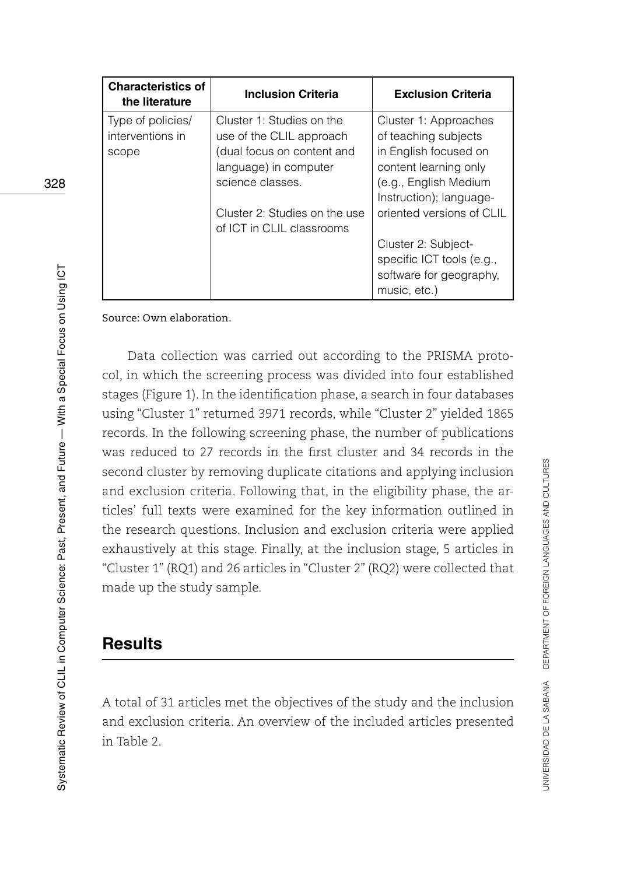| <b>Characteristics of</b><br>the literature | <b>Inclusion Criteria</b>     | <b>Exclusion Criteria</b> |
|---------------------------------------------|-------------------------------|---------------------------|
| Type of policies/                           | Cluster 1: Studies on the     | Cluster 1: Approaches     |
| interventions in                            | use of the CLIL approach      | of teaching subjects      |
| scope                                       | (dual focus on content and    | in English focused on     |
|                                             | language) in computer         | content learning only     |
|                                             | science classes.              | (e.g., English Medium     |
|                                             |                               | Instruction); language-   |
|                                             | Cluster 2: Studies on the use | oriented versions of CLIL |
|                                             | of ICT in CLIL classrooms     |                           |
|                                             |                               | Cluster 2: Subject-       |
|                                             |                               | specific ICT tools (e.g., |
|                                             |                               | software for geography.   |
|                                             |                               | music, etc.)              |

Source: Own elaboration.

Data collection was carried out according to the PRISMA protocol, in which the screening process was divided into four established stages (Figure 1). In the identification phase, a search in four databases using "Cluster 1" returned 3971 records, while "Cluster 2" yielded 1865 records. In the following screening phase, the number of publications was reduced to 27 records in the first cluster and 34 records in the second cluster by removing duplicate citations and applying inclusion and exclusion criteria. Following that, in the eligibility phase, the articles' full texts were examined for the key information outlined in the research questions. Inclusion and exclusion criteria were applied exhaustively at this stage. Finally, at the inclusion stage, 5 articles in "Cluster 1" (RQ1) and 26 articles in "Cluster 2" (RQ2) were collected that made up the study sample.

### **Results**

A total of 31 articles met the objectives of the study and the inclusion and exclusion criteria. An overview of the included articles presented in Table 2.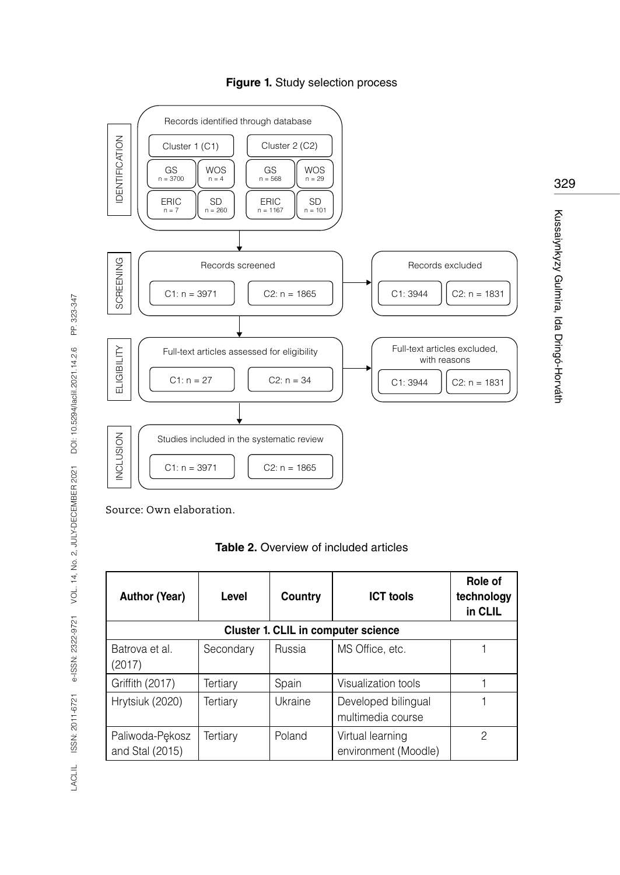



329

Kussaiynkyzy Gulmira, Ida Dringó-Horváth

Kussaiyhkyzy Gulmira, Ida Dringó-Horváth

Source: Own elaboration.

**Table 2.** Overview of included articles

| <b>Author (Year)</b>               | Level                               | Country | <b>ICT tools</b>                         | Role of<br>technology<br>in CLIL |  |  |
|------------------------------------|-------------------------------------|---------|------------------------------------------|----------------------------------|--|--|
|                                    | Cluster 1. CLIL in computer science |         |                                          |                                  |  |  |
| Batrova et al.<br>(2017)           | Secondary                           | Russia  | MS Office, etc.                          |                                  |  |  |
| Griffith (2017)                    | Tertiary                            | Spain   | Visualization tools                      |                                  |  |  |
| Hrytsiuk (2020)                    | Tertiary                            | Ukraine | Developed bilingual<br>multimedia course |                                  |  |  |
| Paliwoda-Pekosz<br>and Stal (2015) | Tertiarv                            | Poland  | Virtual learning<br>environment (Moodle) | 2                                |  |  |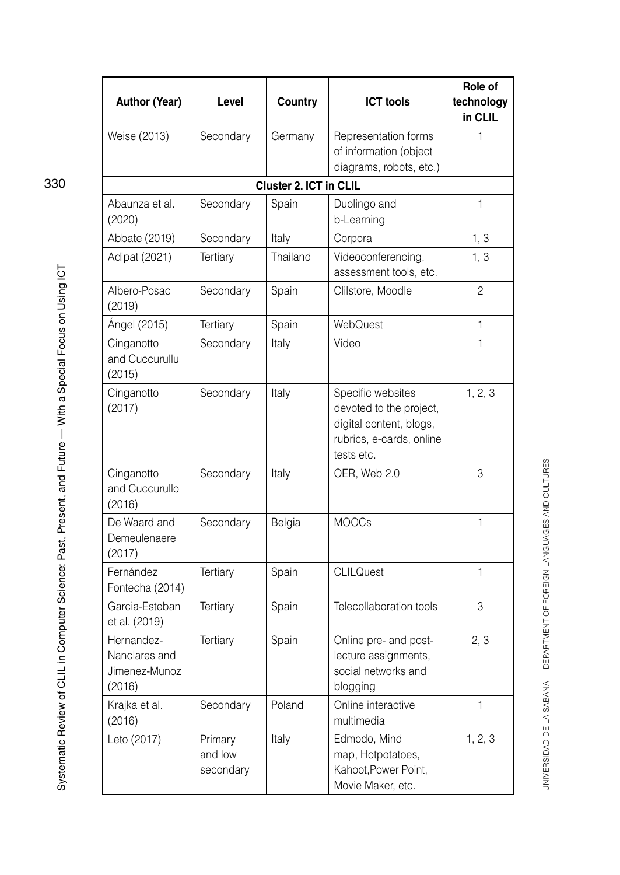| <b>Author (Year)</b>                                   | Level                           | Country                       | <b>ICT</b> tools                                                                                                  | Role of<br>technology<br>in CLIL |
|--------------------------------------------------------|---------------------------------|-------------------------------|-------------------------------------------------------------------------------------------------------------------|----------------------------------|
| Weise (2013)                                           | Secondary                       | Germany                       | Representation forms<br>of information (object<br>diagrams, robots, etc.)                                         | 1                                |
|                                                        |                                 | <b>Cluster 2. ICT in CLIL</b> |                                                                                                                   |                                  |
| Abaunza et al.<br>(2020)                               | Secondary                       | Spain                         | Duolingo and<br>b-Learning                                                                                        | $\mathbf{1}$                     |
| Abbate (2019)                                          | Secondary                       | Italy                         | Corpora                                                                                                           | 1, 3                             |
| Adipat (2021)                                          | Tertiary                        | Thailand                      | Videoconferencing,<br>assessment tools, etc.                                                                      | 1, 3                             |
| Albero-Posac<br>(2019)                                 | Secondary                       | Spain                         | Clilstore, Moodle                                                                                                 | $\overline{2}$                   |
| Ángel (2015)                                           | Tertiary                        | Spain                         | WebQuest                                                                                                          | 1                                |
| Cinganotto<br>and Cuccurullu<br>(2015)                 | Secondary                       | Italy                         | Video                                                                                                             | 1                                |
| Cinganotto<br>(2017)                                   | Secondary                       | Italy                         | Specific websites<br>devoted to the project,<br>digital content, blogs,<br>rubrics, e-cards, online<br>tests etc. | 1, 2, 3                          |
| Cinganotto<br>and Cuccurullo<br>(2016)                 | Secondary                       | Italy                         | OER, Web 2.0                                                                                                      | 3                                |
| De Waard and<br>Demeulenaere<br>(2017)                 | Secondary                       | Belgia                        | <b>MOOCs</b>                                                                                                      | 1                                |
| Fernández<br>Fontecha (2014)                           | Tertiary                        | Spain                         | <b>CLILQuest</b>                                                                                                  | 1                                |
| Garcia-Esteban<br>et al. (2019)                        | Tertiary                        | Spain                         | Telecollaboration tools                                                                                           | 3                                |
| Hernandez-<br>Nanclares and<br>Jimenez-Munoz<br>(2016) | Tertiary                        | Spain                         | Online pre- and post-<br>lecture assignments,<br>social networks and<br>blogging                                  | 2, 3                             |
| Krajka et al.<br>(2016)                                | Secondary                       | Poland                        | Online interactive<br>multimedia                                                                                  | $\mathbf{1}$                     |
| Leto (2017)                                            | Primary<br>and low<br>secondary | Italy                         | Edmodo, Mind<br>map, Hotpotatoes,<br>Kahoot, Power Point,<br>Movie Maker, etc.                                    | 1, 2, 3                          |

UNIVERSIDAD DE LA SABANA DEPARTMENT OF FOREIGN LANGUAGES AND CULTURES UNIVERSIDAD DE LA SABANA DEPARTMENT OF FOREIGN LANGUAGES AND CULTURES

330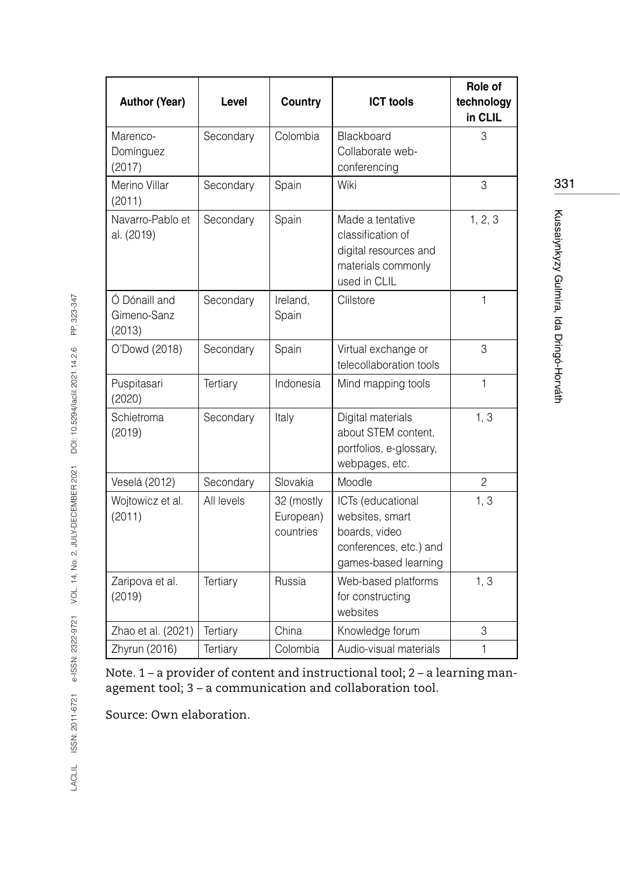| <b>Author (Year)</b>                   | Level      | Country                              | <b>ICT tools</b>                                                                                        | Role of<br>technology<br>in CLIL |
|----------------------------------------|------------|--------------------------------------|---------------------------------------------------------------------------------------------------------|----------------------------------|
| Marenco-<br>Domínguez<br>(2017)        | Secondary  | Colombia                             | Blackboard<br>Collaborate web-<br>conferencing                                                          | 3                                |
| Merino Villar<br>(2011)                | Secondary  | Spain                                | Wiki                                                                                                    | 3                                |
| Navarro-Pablo et<br>al. (2019)         | Secondary  | Spain                                | Made a tentative<br>classification of<br>digital resources and<br>materials commonly<br>used in CLIL    | 1, 2, 3                          |
| Ó Dónaill and<br>Gimeno-Sanz<br>(2013) | Secondary  | Ireland,<br>Spain                    | Clilstore                                                                                               | 1                                |
| O'Dowd (2018)                          | Secondary  | Spain                                | Virtual exchange or<br>telecollaboration tools                                                          | 3                                |
| Puspitasari<br>(2020)                  | Tertiary   | Indonesia                            | Mind mapping tools                                                                                      | 1                                |
| Schietroma<br>(2019)                   | Secondary  | Italy                                | Digital materials<br>about STEM content,<br>portfolios, e-glossary,<br>webpages, etc.                   | 1, 3                             |
| Veselá (2012)                          | Secondary  | Slovakia                             | Moodle                                                                                                  | $\overline{2}$                   |
| Wojtowicz et al.<br>(2011)             | All levels | 32 (mostly<br>European)<br>countries | ICTs (educational<br>websites, smart<br>boards, video<br>conferences, etc.) and<br>games-based learning | 1, 3                             |
| Zaripova et al.<br>(2019)              | Tertiary   | Russia                               | Web-based platforms<br>for constructing<br>websites                                                     | 1, 3                             |
| Zhao et al. (2021)                     | Tertiary   | China                                | Knowledge forum                                                                                         | 3                                |
| Zhyrun (2016)                          | Tertiary   | Colombia                             | Audio-visual materials                                                                                  | $\mathbf{1}$                     |

Note. 1 – a provider of content and instructional tool; 2 – a learning management tool; 3 – a communication and collaboration tool.

Source: Own elaboration.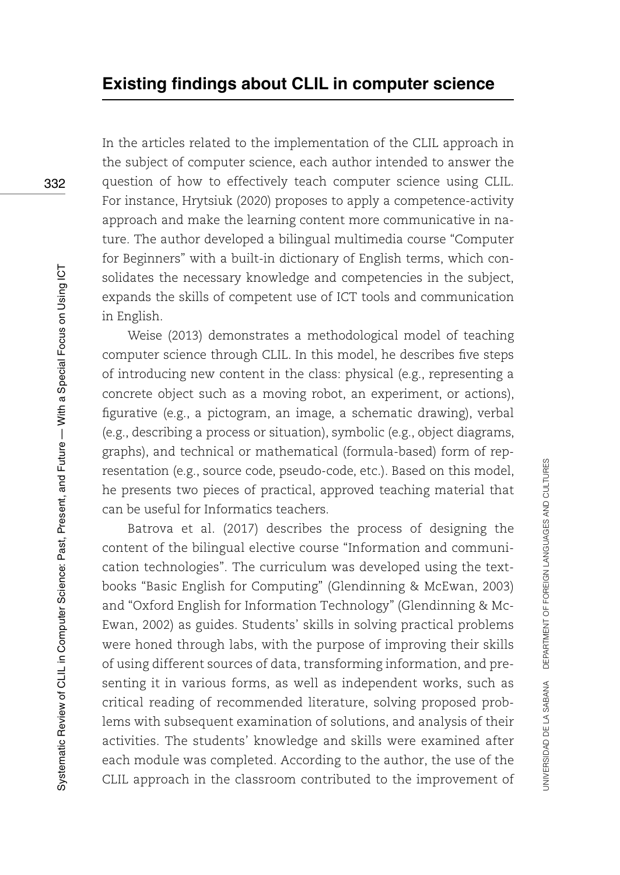In the articles related to the implementation of the CLIL approach in the subject of computer science, each author intended to answer the question of how to effectively teach computer science using CLIL. For instance, Hrytsiuk (2020) proposes to apply a competence-activity approach and make the learning content more communicative in nature. The author developed a bilingual multimedia course "Computer for Beginners" with a built-in dictionary of English terms, which consolidates the necessary knowledge and competencies in the subject, expands the skills of competent use of ICT tools and communication in English.

Weise (2013) demonstrates a methodological model of teaching computer science through CLIL. In this model, he describes five steps of introducing new content in the class: physical (e.g., representing a concrete object such as a moving robot, an experiment, or actions), figurative (e.g., a pictogram, an image, a schematic drawing), verbal (e.g., describing a process or situation), symbolic (e.g., object diagrams, graphs), and technical or mathematical (formula-based) form of representation (e.g., source code, pseudo-code, etc.). Based on this model, he presents two pieces of practical, approved teaching material that can be useful for Informatics teachers.

Batrova et al. (2017) describes the process of designing the content of the bilingual elective course "Information and communication technologies". The curriculum was developed using the textbooks "Basic English for Computing" (Glendinning & McEwan, 2003) and "Oxford English for Information Technology" (Glendinning & Mc-Ewan, 2002) as guides. Students' skills in solving practical problems were honed through labs, with the purpose of improving their skills of using different sources of data, transforming information, and presenting it in various forms, as well as independent works, such as critical reading of recommended literature, solving proposed problems with subsequent examination of solutions, and analysis of their activities. The students' knowledge and skills were examined after each module was completed. According to the author, the use of the CLIL approach in the classroom contributed to the improvement of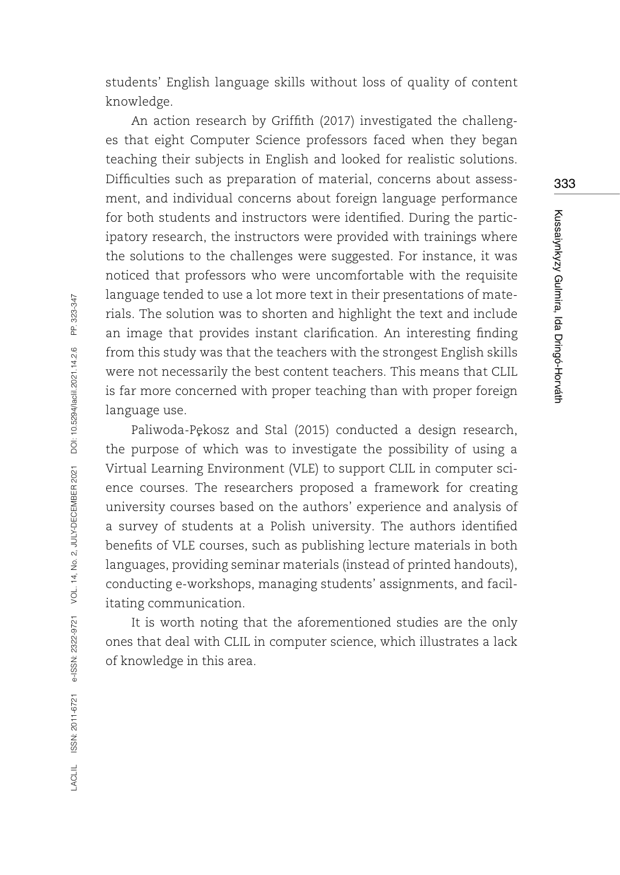students' English language skills without loss of quality of content knowledge.

An action research by Griffith (2017) investigated the challenges that eight Computer Science professors faced when they began teaching their subjects in English and looked for realistic solutions. Difficulties such as preparation of material, concerns about assessment, and individual concerns about foreign language performance for both students and instructors were identified. During the participatory research, the instructors were provided with trainings where the solutions to the challenges were suggested. For instance, it was noticed that professors who were uncomfortable with the requisite language tended to use a lot more text in their presentations of materials. The solution was to shorten and highlight the text and include an image that provides instant clarification. An interesting finding from this study was that the teachers with the strongest English skills were not necessarily the best content teachers. This means that CLIL is far more concerned with proper teaching than with proper foreign language use.

Paliwoda-Pekosz and Stal (2015) conducted a design research, the purpose of which was to investigate the possibility of using a Virtual Learning Environment (VLE) to support CLIL in computer science courses. The researchers proposed a framework for creating university courses based on the authors' experience and analysis of a survey of students at a Polish university. The authors identified benefits of VLE courses, such as publishing lecture materials in both languages, providing seminar materials (instead of printed handouts), conducting e-workshops, managing students' assignments, and facilitating communication.

It is worth noting that the aforementioned studies are the only ones that deal with CLIL in computer science, which illustrates a lack of knowledge in this area.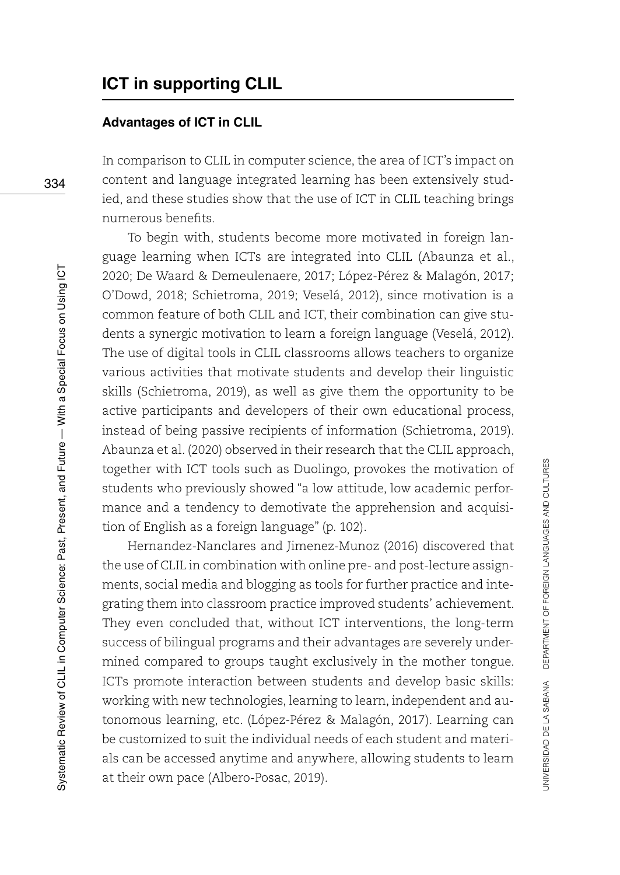#### **Advantages of ICT in CLIL**

In comparison to CLIL in computer science, the area of ICT's impact on content and language integrated learning has been extensively studied, and these studies show that the use of ICT in CLIL teaching brings numerous benefits.

To begin with, students become more motivated in foreign language learning when ICTs are integrated into CLIL (Abaunza et al., 2020; De Waard & Demeulenaere, 2017; López-Pérez & Malagón, 2017; O'Dowd, 2018; Schietroma, 2019; Veselá, 2012), since motivation is a common feature of both CLIL and ICT, their combination can give students a synergic motivation to learn a foreign language (Veselá, 2012). The use of digital tools in CLIL classrooms allows teachers to organize various activities that motivate students and develop their linguistic skills (Schietroma, 2019), as well as give them the opportunity to be active participants and developers of their own educational process, instead of being passive recipients of information (Schietroma, 2019). Abaunza et al. (2020) observed in their research that the CLIL approach, together with ICT tools such as Duolingo, provokes the motivation of students who previously showed "a low attitude, low academic performance and a tendency to demotivate the apprehension and acquisition of English as a foreign language" (p. 102).

Hernandez-Nanclares and Jimenez-Munoz (2016) discovered that the use of CLIL in combination with online pre- and post-lecture assignments, social media and blogging as tools for further practice and integrating them into classroom practice improved students' achievement. They even concluded that, without ICT interventions, the long-term success of bilingual programs and their advantages are severely undermined compared to groups taught exclusively in the mother tongue. ICTs promote interaction between students and develop basic skills: working with new technologies, learning to learn, independent and autonomous learning, etc. (López-Pérez & Malagón, 2017). Learning can be customized to suit the individual needs of each student and materials can be accessed anytime and anywhere, allowing students to learn at their own pace (Albero-Posac, 2019).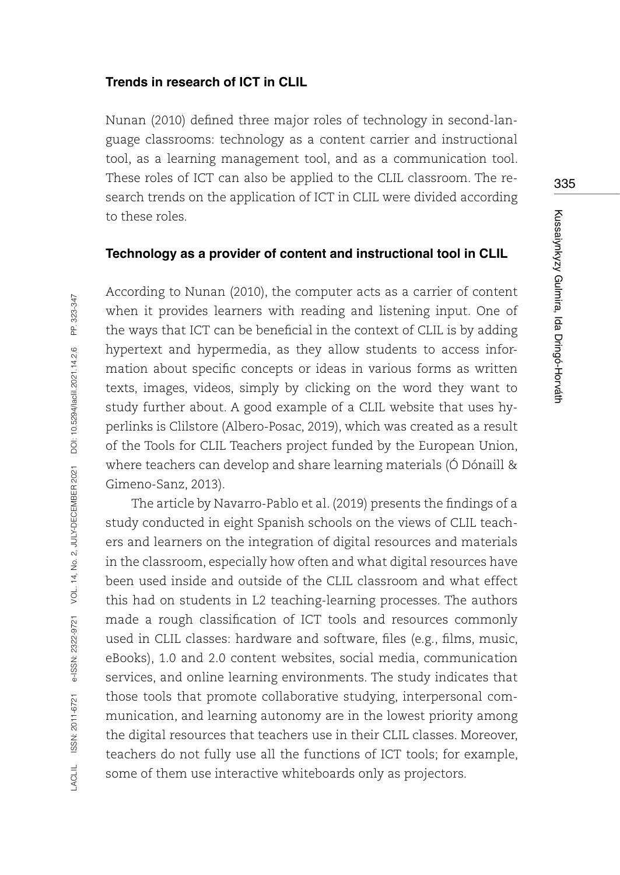#### **Trends in research of ICT in CLIL**

Nunan (2010) defined three major roles of technology in second-language classrooms: technology as a content carrier and instructional tool, as a learning management tool, and as a communication tool. These roles of ICT can also be applied to the CLIL classroom. The research trends on the application of ICT in CLIL were divided according to these roles.

#### **Technology as a provider of content and instructional tool in CLIL**

According to Nunan (2010), the computer acts as a carrier of content when it provides learners with reading and listening input. One of the ways that ICT can be beneficial in the context of CLIL is by adding hypertext and hypermedia, as they allow students to access information about specific concepts or ideas in various forms as written texts, images, videos, simply by clicking on the word they want to study further about. A good example of a CLIL website that uses hyperlinks is Clilstore (Albero-Posac, 2019), which was created as a result of the Tools for CLIL Teachers project funded by the European Union, where teachers can develop and share learning materials (Ó Dónaill & Gimeno-Sanz, 2013).

The article by Navarro-Pablo et al. (2019) presents the findings of a study conducted in eight Spanish schools on the views of CLIL teachers and learners on the integration of digital resources and materials in the classroom, especially how often and what digital resources have been used inside and outside of the CLIL classroom and what effect this had on students in L2 teaching-learning processes. The authors made a rough classification of ICT tools and resources commonly used in CLIL classes: hardware and software, files (e.g., films, music, eBooks), 1.0 and 2.0 content websites, social media, communication services, and online learning environments. The study indicates that those tools that promote collaborative studying, interpersonal communication, and learning autonomy are in the lowest priority among the digital resources that teachers use in their CLIL classes. Moreover, teachers do not fully use all the functions of ICT tools; for example, some of them use interactive whiteboards only as projectors.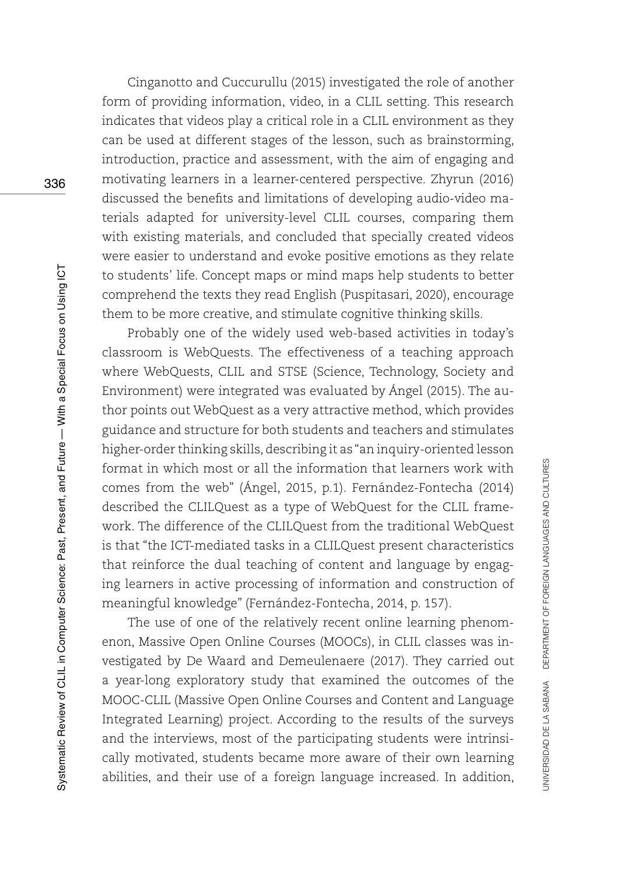Cinganotto and Cuccurullu (2015) investigated the role of another form of providing information, video, in a CLIL setting. This research indicates that videos play a critical role in a CLIL environment as they can be used at different stages of the lesson, such as brainstorming, introduction, practice and assessment, with the aim of engaging and motivating learners in a learner-centered perspective. Zhyrun (2016) discussed the benefits and limitations of developing audio-video materials adapted for university-level CLIL courses, comparing them with existing materials, and concluded that specially created videos were easier to understand and evoke positive emotions as they relate to students' life. Concept maps or mind maps help students to better comprehend the texts they read English (Puspitasari, 2020), encourage them to be more creative, and stimulate cognitive thinking skills.

Probably one of the widely used web-based activities in today's classroom is WebQuests. The effectiveness of a teaching approach where WebQuests, CLIL and STSE (Science, Technology, Society and Environment) were integrated was evaluated by Ángel (2015). The author points out WebQuest as a very attractive method, which provides guidance and structure for both students and teachers and stimulates higher-order thinking skills, describing it as "an inquiry-oriented lesson format in which most or all the information that learners work with comes from the web" (Ángel, 2015, p.1). Fernández-Fontecha (2014) described the CLILQuest as a type of WebQuest for the CLIL framework. The difference of the CLILQuest from the traditional WebQuest is that "the ICT-mediated tasks in a CLILQuest present characteristics that reinforce the dual teaching of content and language by engaging learners in active processing of information and construction of meaningful knowledge" (Fernández-Fontecha, 2014, p. 157).

The use of one of the relatively recent online learning phenomenon, Massive Open Online Courses (MOOCs), in CLIL classes was investigated by De Waard and Demeulenaere (2017). They carried out a year-long exploratory study that examined the outcomes of the MOOC-CLIL (Massive Open Online Courses and Content and Language Integrated Learning) project. According to the results of the surveys and the interviews, most of the participating students were intrinsically motivated, students became more aware of their own learning abilities, and their use of a foreign language increased. In addition,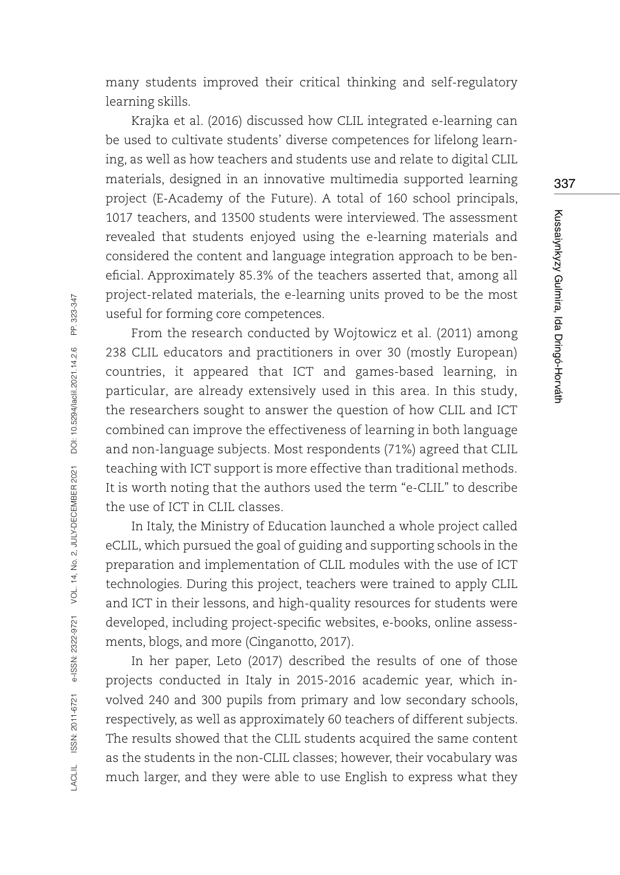many students improved their critical thinking and self-regulatory learning skills.

Krajka et al. (2016) discussed how CLIL integrated e-learning can be used to cultivate students' diverse competences for lifelong learning, as well as how teachers and students use and relate to digital CLIL materials, designed in an innovative multimedia supported learning project (E-Academy of the Future). A total of 160 school principals, 1017 teachers, and 13500 students were interviewed. The assessment revealed that students enjoyed using the e-learning materials and considered the content and language integration approach to be beneficial. Approximately 85.3% of the teachers asserted that, among all project-related materials, the e-learning units proved to be the most useful for forming core competences.

From the research conducted by Wojtowicz et al. (2011) among 238 CLIL educators and practitioners in over 30 (mostly European) countries, it appeared that ICT and games-based learning, in particular, are already extensively used in this area. In this study, the researchers sought to answer the question of how CLIL and ICT combined can improve the effectiveness of learning in both language and non-language subjects. Most respondents (71%) agreed that CLIL teaching with ICT support is more effective than traditional methods. It is worth noting that the authors used the term "e-CLIL" to describe the use of ICT in CLIL classes.

In Italy, the Ministry of Education launched a whole project called eCLIL, which pursued the goal of guiding and supporting schools in the preparation and implementation of CLIL modules with the use of ICT technologies. During this project, teachers were trained to apply CLIL and ICT in their lessons, and high-quality resources for students were developed, including project-specific websites, e-books, online assessments, blogs, and more (Cinganotto, 2017).

In her paper, Leto (2017) described the results of one of those projects conducted in Italy in 2015-2016 academic year, which involved 240 and 300 pupils from primary and low secondary schools, respectively, as well as approximately 60 teachers of different subjects. The results showed that the CLIL students acquired the same content as the students in the non-CLIL classes; however, their vocabulary was much larger, and they were able to use English to express what they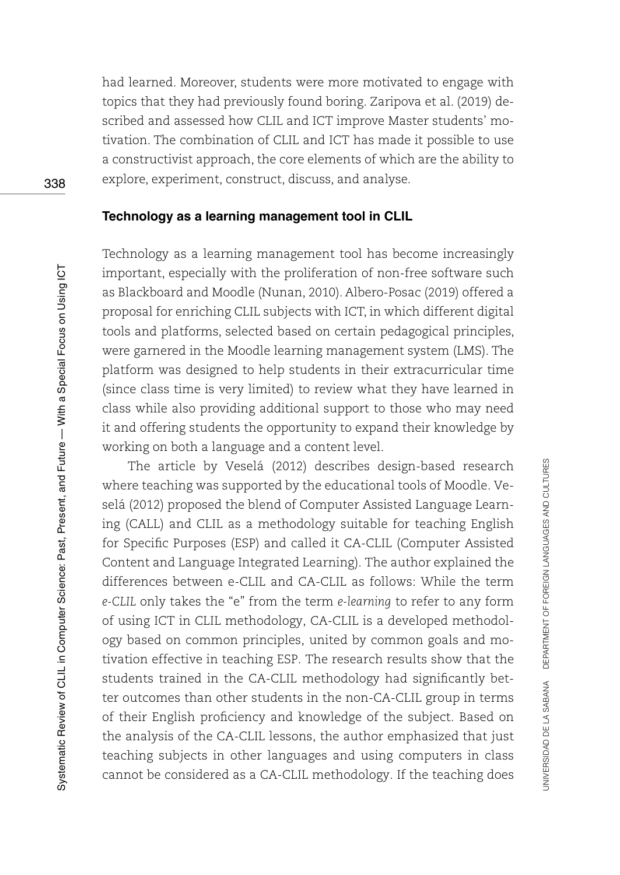had learned. Moreover, students were more motivated to engage with topics that they had previously found boring. Zaripova et al. (2019) described and assessed how CLIL and ICT improve Master students' motivation. The combination of CLIL and ICT has made it possible to use a constructivist approach, the core elements of which are the ability to explore, experiment, construct, discuss, and analyse.

#### **Technology as a learning management tool in CLIL**

Technology as a learning management tool has become increasingly important, especially with the proliferation of non-free software such as Blackboard and Moodle (Nunan, 2010). Albero-Posac (2019) offered a proposal for enriching CLIL subjects with ICT, in which different digital tools and platforms, selected based on certain pedagogical principles, were garnered in the Moodle learning management system (LMS). The platform was designed to help students in their extracurricular time (since class time is very limited) to review what they have learned in class while also providing additional support to those who may need it and offering students the opportunity to expand their knowledge by working on both a language and a content level.

The article by Veselá (2012) describes design-based research where teaching was supported by the educational tools of Moodle. Veselá (2012) proposed the blend of Computer Assisted Language Learning (CALL) and CLIL as a methodology suitable for teaching English for Specific Purposes (ESP) and called it CA-CLIL (Computer Assisted Content and Language Integrated Learning). The author explained the differences between e-CLIL and CA-CLIL as follows: While the term *e-CLIL* only takes the "e" from the term *e-learning* to refer to any form of using ICT in CLIL methodology, CA-CLIL is a developed methodology based on common principles, united by common goals and motivation effective in teaching ESP. The research results show that the students trained in the CA-CLIL methodology had significantly better outcomes than other students in the non-CA-CLIL group in terms of their English proficiency and knowledge of the subject. Based on the analysis of the CA-CLIL lessons, the author emphasized that just teaching subjects in other languages and using computers in class cannot be considered as a CA-CLIL methodology. If the teaching does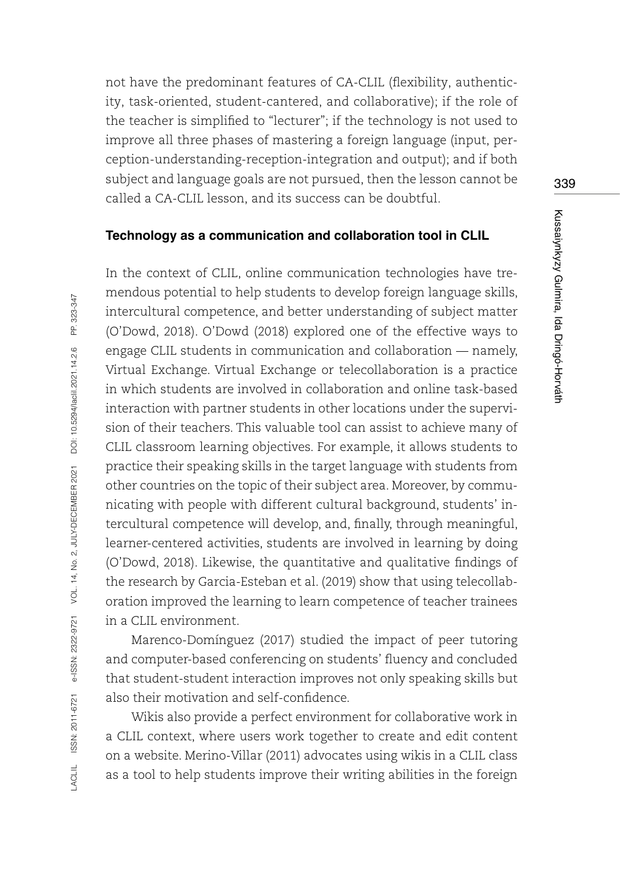not have the predominant features of CA-CLIL (flexibility, authenticity, task-oriented, student-cantered, and collaborative); if the role of the teacher is simplified to "lecturer"; if the technology is not used to improve all three phases of mastering a foreign language (input, perception-understanding-reception-integration and output); and if both subject and language goals are not pursued, then the lesson cannot be called a CA-CLIL lesson, and its success can be doubtful.

#### **Technology as a communication and collaboration tool in CLIL**

In the context of CLIL, online communication technologies have tremendous potential to help students to develop foreign language skills, intercultural competence, and better understanding of subject matter (O'Dowd, 2018). O'Dowd (2018) explored one of the effective ways to engage CLIL students in communication and collaboration — namely, Virtual Exchange. Virtual Exchange or telecollaboration is a practice in which students are involved in collaboration and online task-based interaction with partner students in other locations under the supervision of their teachers. This valuable tool can assist to achieve many of CLIL classroom learning objectives. For example, it allows students to practice their speaking skills in the target language with students from other countries on the topic of their subject area. Moreover, by communicating with people with different cultural background, students' intercultural competence will develop, and, finally, through meaningful, learner-centered activities, students are involved in learning by doing (O'Dowd, 2018). Likewise, the quantitative and qualitative findings of the research by Garcia-Esteban et al. (2019) show that using telecollaboration improved the learning to learn competence of teacher trainees in a CLIL environment.

Marenco-Domínguez (2017) studied the impact of peer tutoring and computer-based conferencing on students' fluency and concluded that student-student interaction improves not only speaking skills but also their motivation and self-confidence.

Wikis also provide a perfect environment for collaborative work in a CLIL context, where users work together to create and edit content on a website. Merino-Villar (2011) advocates using wikis in a CLIL class as a tool to help students improve their writing abilities in the foreign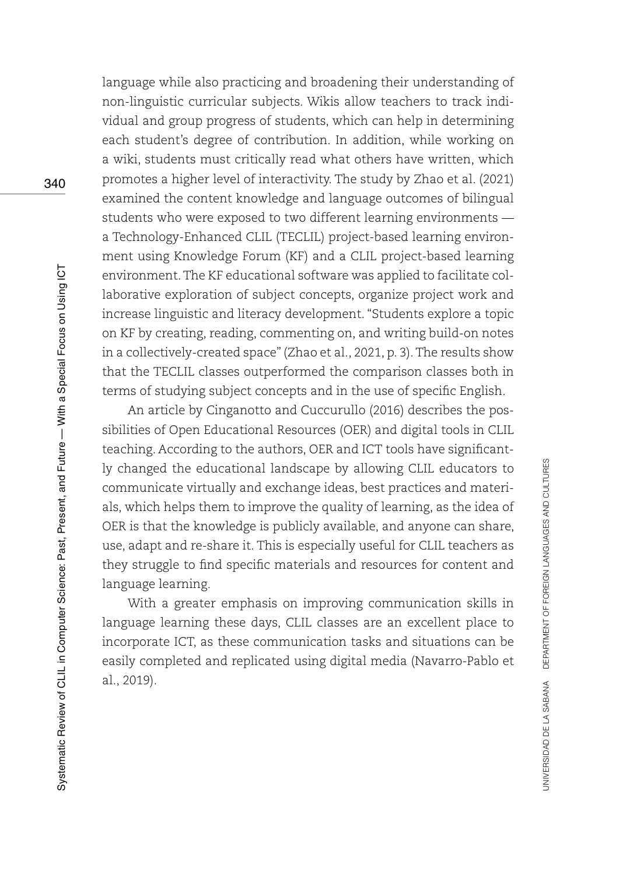language while also practicing and broadening their understanding of non-linguistic curricular subjects. Wikis allow teachers to track individual and group progress of students, which can help in determining each student's degree of contribution. In addition, while working on a wiki, students must critically read what others have written, which promotes a higher level of interactivity. The study by Zhao et al. (2021) examined the content knowledge and language outcomes of bilingual students who were exposed to two different learning environments a Technology-Enhanced CLIL (TECLIL) project-based learning environment using Knowledge Forum (KF) and a CLIL project-based learning environment. The KF educational software was applied to facilitate collaborative exploration of subject concepts, organize project work and increase linguistic and literacy development. "Students explore a topic on KF by creating, reading, commenting on, and writing build-on notes in a collectively-created space" (Zhao et al., 2021, p. 3). The results show that the TECLIL classes outperformed the comparison classes both in terms of studying subject concepts and in the use of specific English.

An article by Cinganotto and Cuccurullo (2016) describes the possibilities of Open Educational Resources (OER) and digital tools in CLIL teaching. According to the authors, OER and ICT tools have significantly changed the educational landscape by allowing CLIL educators to communicate virtually and exchange ideas, best practices and materials, which helps them to improve the quality of learning, as the idea of OER is that the knowledge is publicly available, and anyone can share, use, adapt and re-share it. This is especially useful for CLIL teachers as they struggle to find specific materials and resources for content and language learning.

With a greater emphasis on improving communication skills in language learning these days, CLIL classes are an excellent place to incorporate ICT, as these communication tasks and situations can be easily completed and replicated using digital media (Navarro-Pablo et al., 2019).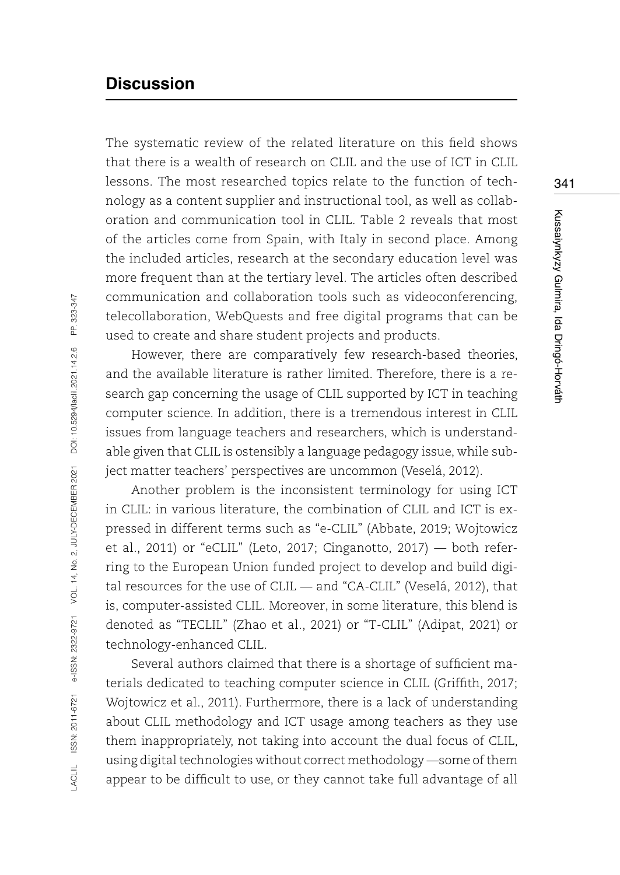# **Discussion**

The systematic review of the related literature on this field shows that there is a wealth of research on CLIL and the use of ICT in CLIL lessons. The most researched topics relate to the function of technology as a content supplier and instructional tool, as well as collaboration and communication tool in CLIL. Table 2 reveals that most of the articles come from Spain, with Italy in second place. Among the included articles, research at the secondary education level was more frequent than at the tertiary level. The articles often described communication and collaboration tools such as videoconferencing, telecollaboration, WebQuests and free digital programs that can be used to create and share student projects and products.

However, there are comparatively few research-based theories, and the available literature is rather limited. Therefore, there is a research gap concerning the usage of CLIL supported by ICT in teaching computer science. In addition, there is a tremendous interest in CLIL issues from language teachers and researchers, which is understandable given that CLIL is ostensibly a language pedagogy issue, while subject matter teachers' perspectives are uncommon (Veselá, 2012).

Another problem is the inconsistent terminology for using ICT in CLIL: in various literature, the combination of CLIL and ICT is expressed in different terms such as "e-CLIL" (Abbate, 2019; Wojtowicz et al., 2011) or "eCLIL" (Leto, 2017; Cinganotto, 2017) — both referring to the European Union funded project to develop and build digital resources for the use of CLIL — and "CA-CLIL" (Veselá, 2012), that is, computer-assisted CLIL. Moreover, in some literature, this blend is denoted as "TECLIL" (Zhao et al., 2021) or "T-CLIL" (Adipat, 2021) or technology-enhanced CLIL.

Several authors claimed that there is a shortage of sufficient materials dedicated to teaching computer science in CLIL (Griffith, 2017; Wojtowicz et al., 2011). Furthermore, there is a lack of understanding about CLIL methodology and ICT usage among teachers as they use them inappropriately, not taking into account the dual focus of CLIL, using digital technologies without correct methodology —some of them appear to be difficult to use, or they cannot take full advantage of all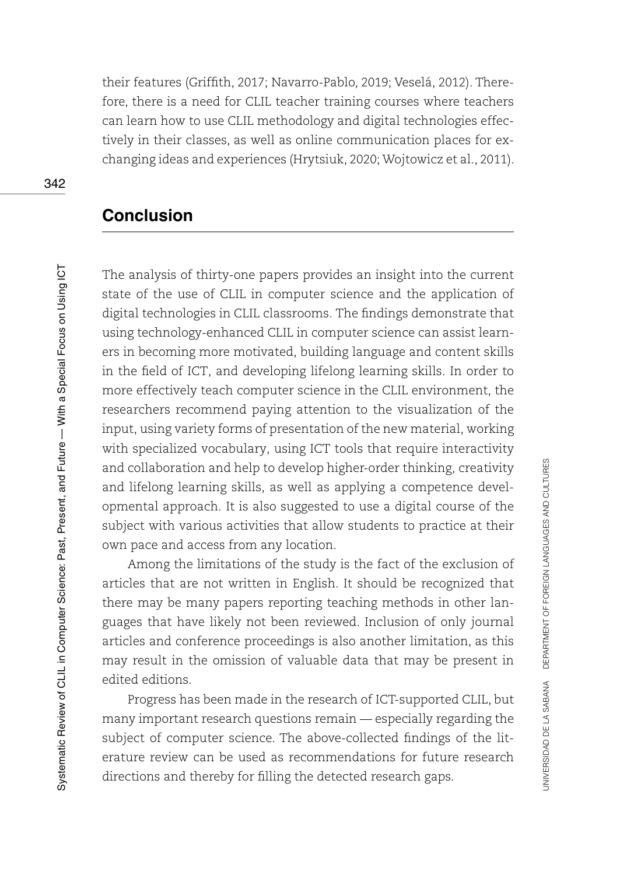their features (Griffith, 2017; Navarro-Pablo, 2019; Veselá, 2012). Therefore, there is a need for CLIL teacher training courses where teachers can learn how to use CLIL methodology and digital technologies effectively in their classes, as well as online communication places for exchanging ideas and experiences (Hrytsiuk, 2020; Wojtowicz et al., 2011).

# **Conclusion**

The analysis of thirty-one papers provides an insight into the current state of the use of CLIL in computer science and the application of digital technologies in CLIL classrooms. The findings demonstrate that using technology-enhanced CLIL in computer science can assist learners in becoming more motivated, building language and content skills in the field of ICT, and developing lifelong learning skills. In order to more effectively teach computer science in the CLIL environment, the researchers recommend paying attention to the visualization of the input, using variety forms of presentation of the new material, working with specialized vocabulary, using ICT tools that require interactivity and collaboration and help to develop higher-order thinking, creativity and lifelong learning skills, as well as applying a competence developmental approach. It is also suggested to use a digital course of the subject with various activities that allow students to practice at their own pace and access from any location.

Among the limitations of the study is the fact of the exclusion of articles that are not written in English. It should be recognized that there may be many papers reporting teaching methods in other languages that have likely not been reviewed. Inclusion of only journal articles and conference proceedings is also another limitation, as this may result in the omission of valuable data that may be present in edited editions.

Progress has been made in the research of ICT-supported CLIL, but many important research questions remain — especially regarding the subject of computer science. The above-collected findings of the literature review can be used as recommendations for future research directions and thereby for filling the detected research gaps.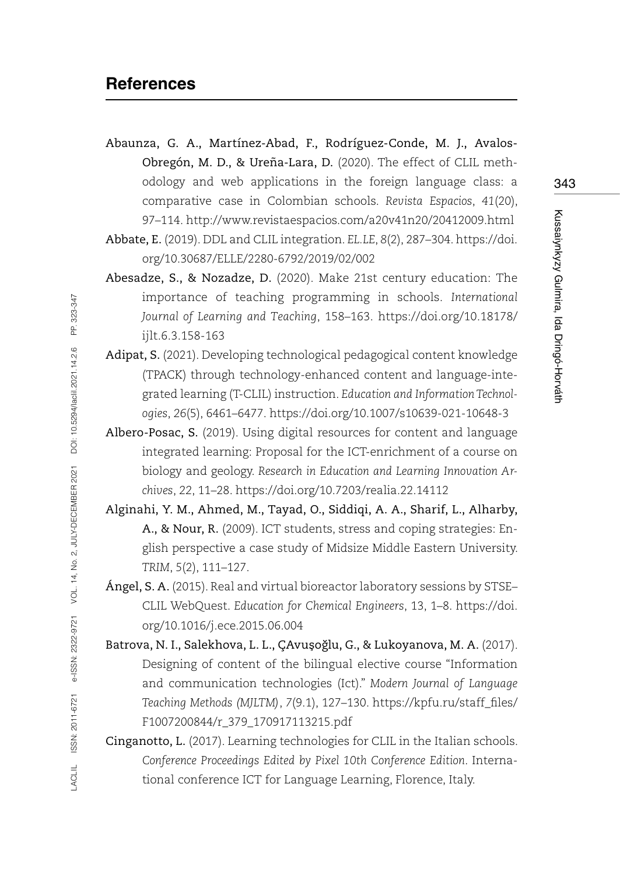- Abaunza, G. A., Martínez-Abad, F., Rodríguez-Conde, M. J., Avalos-Obregón, M. D., & Ureña-Lara, D. (2020). The effect of CLIL methodology and web applications in the foreign language class: a comparative case in Colombian schools. *Revista Espacios*, *41*(20), 97–114. <http://www.revistaespacios.com/a20v41n20/20412009.html>
- Abbate, E. (2019). DDL and CLIL integration. *EL.LE*, *8*(2), 287–304. [https://doi.](https://doi.org/10.30687/ELLE/2280-6792/2019/02/002) [org/10.30687/ELLE/2280-6792/2019/02/002](https://doi.org/10.30687/ELLE/2280-6792/2019/02/002)
- Abesadze, S., & Nozadze, D. (2020). Make 21st century education: The importance of teaching programming in schools. *International Journal of Learning and Teaching*, 158–163. [https://doi.org/10.18178/](https://doi.org/10.18178/ijlt.6.3.158-163) [ijlt.6.3.158-163](https://doi.org/10.18178/ijlt.6.3.158-163)
- Adipat, S. (2021). Developing technological pedagogical content knowledge (TPACK) through technology-enhanced content and language-integrated learning (T-CLIL) instruction. *Education and Information Technologies*, *26*(5), 6461–6477. <https://doi.org/10.1007/s10639-021-10648-3>
- Albero-Posac, S. (2019). Using digital resources for content and language integrated learning: Proposal for the ICT-enrichment of a course on biology and geology. *Research in Education and Learning Innovation Archives*, *22*, 11–28.<https://doi.org/10.7203/realia.22.14112>
- Alginahi, Y. M., Ahmed, M., Tayad, O., Siddiqi, A. A., Sharif, L., Alharby, A., & Nour, R. (2009). ICT students, stress and coping strategies: English perspective a case study of Midsize Middle Eastern University. *TRIM*, *5*(2), 111–127.
- Ángel, S. A. (2015). Real and virtual bioreactor laboratory sessions by STSE– CLIL WebQuest. *Education for Chemical Engineers*, 13, 1–8. [https://doi.](https://doi.org/10.1016/j.ece.2015.06.004) [org/10.1016/j.ece.2015.06.004](https://doi.org/10.1016/j.ece.2015.06.004)
- Batrova, N. I., Salekhova, L. L., ÇAvusoglu, G., & Lukoyanova, M. A. (2017). Designing of content of the bilingual elective course "Information and communication technologies (Ict)." *Modern Journal of Language Teaching Methods (MJLTM)*, *7*(9.1), 127–130. [https://kpfu.ru/staff\\_files/](https://kpfu.ru/staff_files/F1007200844/r_379_170917113215.pdf) [F1007200844/r\\_379\\_170917113215.pdf](https://kpfu.ru/staff_files/F1007200844/r_379_170917113215.pdf)
- Cinganotto, L. (2017). Learning technologies for CLIL in the Italian schools. *Conference Proceedings Edited by Pixel 10th Conference Edition*. International conference ICT for Language Learning, Florence, Italy.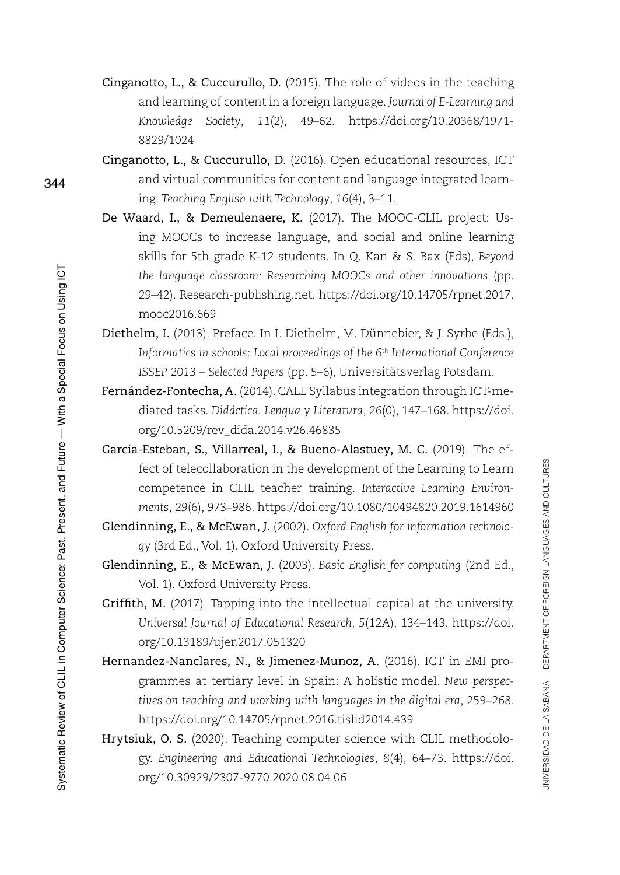- Cinganotto, L., & Cuccurullo, D. (2015). The role of videos in the teaching and learning of content in a foreign language. *Journal of E-Learning and Knowledge Society*, *11*(2), 49–62. [https://doi.org/10.20368/1971-](https://doi.org/10.20368/1971-8829/1024) [8829/1024](https://doi.org/10.20368/1971-8829/1024)
- Cinganotto, L., & Cuccurullo, D. (2016). Open educational resources, ICT and virtual communities for content and language integrated learning. *Teaching English with Technology*, *16*(4), 3–11.
- De Waard, I., & Demeulenaere, K. (2017). The MOOC-CLIL project: Using MOOCs to increase language, and social and online learning skills for 5th grade K-12 students. In Q. Kan & S. Bax (Eds), *Beyond the language classroom: Researching MOOCs and other innovations* (pp. 29–42). Research-publishing.net. [https://doi.org/10.14705/rpnet.2017.](https://doi.org/10.14705/rpnet.2017.mooc2016.669) [mooc2016.669](https://doi.org/10.14705/rpnet.2017.mooc2016.669)
- Diethelm, I. (2013). Preface. In I. Diethelm, M. Dünnebier, & J. Syrbe (Eds.), *Informatics in schools: Local proceedings of the 6th International Conference ISSEP 2013 – Selected Papers* (pp. 5–6), Universitätsverlag Potsdam.
- Fernández-Fontecha, A. (2014). CALL Syllabus integration through ICT-mediated tasks. *Didáctica. Lengua y Literatura*, *26*(0), 147–168. [https://doi.](https://doi.org/10.5209/rev_dida.2014.v26.46835) [org/10.5209/rev\\_dida.2014.v26.46835](https://doi.org/10.5209/rev_dida.2014.v26.46835)
- Garcia-Esteban, S., Villarreal, I., & Bueno-Alastuey, M. C. (2019). The effect of telecollaboration in the development of the Learning to Learn competence in CLIL teacher training. *Interactive Learning Environments*, *29*(6), 973–986.<https://doi.org/10.1080/10494820.2019.1614960>
- Glendinning, E., & McEwan, J. (2002). *Oxford English for information technology* (3rd Ed., Vol. 1). Oxford University Press.
- Glendinning, E., & McEwan, J. (2003). *Basic English for computing* (2nd Ed., Vol. 1). Oxford University Press.
- Griffith, M. (2017). Tapping into the intellectual capital at the university. *Universal Journal of Educational Research*, *5*(12A), 134–143. [https://doi.](https://doi.org/10.13189/ujer.2017.051320) [org/10.13189/ujer.2017.051320](https://doi.org/10.13189/ujer.2017.051320)
- Hernandez-Nanclares, N., & Jimenez-Munoz, A. (2016). ICT in EMI programmes at tertiary level in Spain: A holistic model. *New perspectives on teaching and working with languages in the digital era*, 259–268. <https://doi.org/10.14705/rpnet.2016.tislid2014.439>
- Hrytsiuk, O. S. (2020). Teaching computer science with CLIL methodology. *Engineering and Educational Technologies*, *8*(4), 64–73. [https://doi.](https://doi.org/10.30929/2307-9770.2020.08.04.06) [org/10.30929/2307-9770.2020.08.04.06](https://doi.org/10.30929/2307-9770.2020.08.04.06)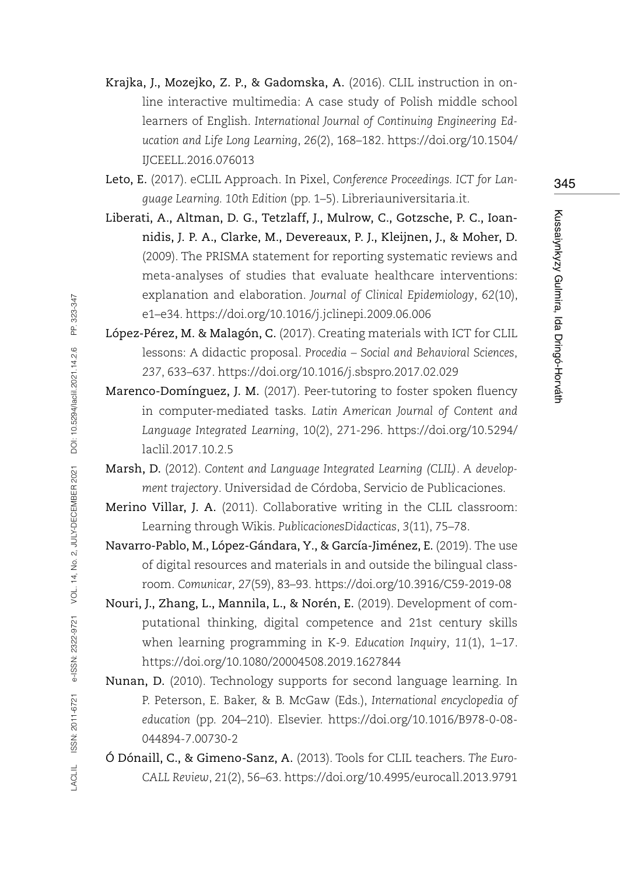- Krajka, J., Mozejko, Z. P., & Gadomska, A. (2016). CLIL instruction in online interactive multimedia: A case study of Polish middle school learners of English. *International Journal of Continuing Engineering Education and Life Long Learning*, *26*(2), 168–182. [https://doi.org/10.1504/](https://doi.org/10.1504/IJCEELL.2016.076013) [IJCEELL.2016.076013](https://doi.org/10.1504/IJCEELL.2016.076013)
- Leto, E. (2017). eCLIL Approach. In Pixel, *Conference Proceedings. ICT for Language Learning. 10th Edition* (pp. 1–5). Libreriauniversitaria.it.
- Liberati, A., Altman, D. G., Tetzlaff, J., Mulrow, C., Gotzsche, P. C., Ioannidis, J. P. A., Clarke, M., Devereaux, P. J., Kleijnen, J., & Moher, D. (2009). The PRISMA statement for reporting systematic reviews and meta-analyses of studies that evaluate healthcare interventions: explanation and elaboration. *Journal of Clinical Epidemiology*, *62*(10), e1–e34.<https://doi.org/10.1016/j.jclinepi.2009.06.006>
- López-Pérez, M. & Malagón, C. (2017). Creating materials with ICT for CLIL lessons: A didactic proposal. *Procedia – Social and Behavioral Sciences*, *237*, 633–637.<https://doi.org/10.1016/j.sbspro.2017.02.029>
- Marenco-Domínguez, J. M. (2017). Peer-tutoring to foster spoken fluency in computer-mediated tasks. *Latin American Journal of Content and Language Integrated Learning*, 10(2), 271-296. [https://doi.org/10.5294/](https://doi.org/10.5294/laclil.2017.10.2.5) [laclil.2017.10.2.5](https://doi.org/10.5294/laclil.2017.10.2.5)
- Marsh, D. (2012). *Content and Language Integrated Learning (CLIL). A development trajectory*. Universidad de Córdoba, Servicio de Publicaciones.
- Merino Villar, J. A. (2011). Collaborative writing in the CLIL classroom: Learning through Wikis. *PublicacionesDidacticas*, *3*(11), 75–78.
- Navarro-Pablo, M., López-Gándara, Y., & García-Jiménez, E. (2019). The use of digital resources and materials in and outside the bilingual classroom. *Comunicar*, *27*(59), 83–93. <https://doi.org/10.3916/C59-2019-08>
- Nouri, J., Zhang, L., Mannila, L., & Norén, E. (2019). Development of computational thinking, digital competence and 21st century skills when learning programming in K-9. *Education Inquiry*, *11*(1), 1–17. <https://doi.org/10.1080/20004508.2019.1627844>
- Nunan, D. (2010). Technology supports for second language learning. In P. Peterson, E. Baker, & B. McGaw (Eds.), *International encyclopedia of education* (pp. 204–210). Elsevier. [https://doi.org/10.1016/B978-0-08-](https://doi.org/10.1016/B978-0-08-044894-7.00730-2) [044894-7.00730-2](https://doi.org/10.1016/B978-0-08-044894-7.00730-2)
- Ó Dónaill, C., & Gimeno-Sanz, A. (2013). Tools for CLIL teachers. *The Euro-CALL Review*, *21*(2), 56–63.<https://doi.org/10.4995/eurocall.2013.9791>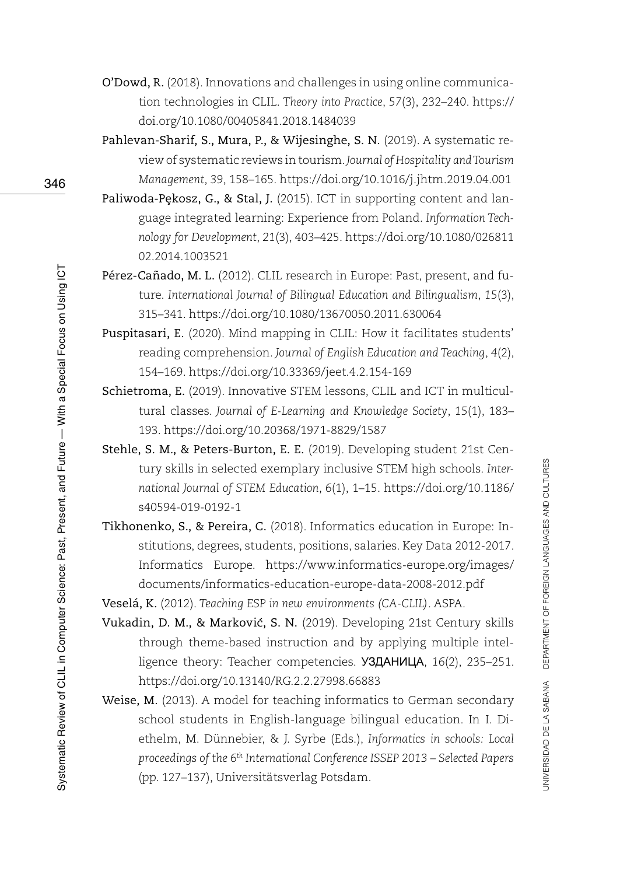- O'Dowd, R. (2018). Innovations and challenges in using online communication technologies in CLIL. *Theory into Practice*, *57*(3), 232–240. [https://](https://doi.org/10.1080/00405841.2018.1484039) [doi.org/10.1080/00405841.2018.1484039](https://doi.org/10.1080/00405841.2018.1484039)
- Pahlevan-Sharif, S., Mura, P., & Wijesinghe, S. N. (2019). A systematic review of systematic reviews in tourism. *Journal of Hospitality and Tourism Management*, *39*, 158–165.<https://doi.org/10.1016/j.jhtm.2019.04.001>
- Paliwoda-Pekosz, G., & Stal, J. (2015). ICT in supporting content and language integrated learning: Experience from Poland. *Information Technology for Development*, *21*(3), 403–425. [https://doi.org/10.1080/026811](https://doi.org/10.1080/02681102.2014.1003521) [02.2014.1003521](https://doi.org/10.1080/02681102.2014.1003521)
- Pérez-Cañado, M. L. (2012). CLIL research in Europe: Past, present, and future. *International Journal of Bilingual Education and Bilingualism*, *15*(3), 315–341. <https://doi.org/10.1080/13670050.2011.630064>
- Puspitasari, E. (2020). Mind mapping in CLIL: How it facilitates students' reading comprehension. *Journal of English Education and Teaching*, *4*(2), 154–169. <https://doi.org/10.33369/jeet.4.2.154-169>
- Schietroma, E. (2019). Innovative STEM lessons, CLIL and ICT in multicultural classes. *Journal of E-Learning and Knowledge Society*, *15*(1), 183– 193.<https://doi.org/10.20368/1971-8829/1587>
- Stehle, S. M., & Peters-Burton, E. E. (2019). Developing student 21st Century skills in selected exemplary inclusive STEM high schools. *International Journal of STEM Education*, *6*(1), 1–15. [https://doi.org/10.1186/](https://doi.org/10.1186/s40594-019-0192-1) [s40594-019-0192-1](https://doi.org/10.1186/s40594-019-0192-1)
- Tikhonenko, S., & Pereira, C. (2018). Informatics education in Europe: Institutions, degrees, students, positions, salaries. Key Data 2012-2017. Informatics Europe. [https://www.informatics-europe.org/images/](https://www.informatics-europe.org/images/documents/informatics-education-europe-data-2008-2012.pdf) [documents/informatics-education-europe-data-2008-2012.pdf](https://www.informatics-europe.org/images/documents/informatics-education-europe-data-2008-2012.pdf)

Veselá, K. (2012). *Teaching ESP in new environments (CA-CLIL)*. ASPA.

- Vukadin, D. M., & Markovic, S. N. (2019). Developing 21st Century skills through theme-based instruction and by applying multiple intelligence theory: Teacher competencies. УЗДАНИЦА, *16*(2), 235–251. <https://doi.org/10.13140/RG.2.2.27998.66883>
- Weise, M. (2013). A model for teaching informatics to German secondary school students in English-language bilingual education. In I. Diethelm, M. Dünnebier, & J. Syrbe (Eds.), *Informatics in schools: Local proceedings of the 6th International Conference ISSEP 2013 – Selected Papers*  (pp. 127–137), Universitätsverlag Potsdam.

346